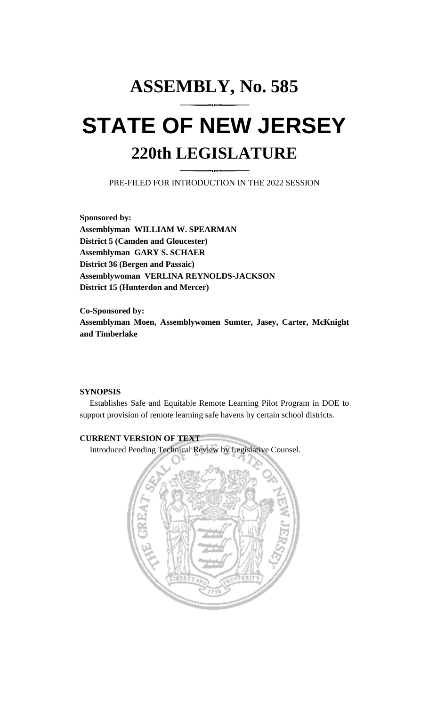## **ASSEMBLY, No. 585 STATE OF NEW JERSEY 220th LEGISLATURE**

PRE-FILED FOR INTRODUCTION IN THE 2022 SESSION

**Sponsored by: Assemblyman WILLIAM W. SPEARMAN District 5 (Camden and Gloucester) Assemblyman GARY S. SCHAER District 36 (Bergen and Passaic) Assemblywoman VERLINA REYNOLDS-JACKSON District 15 (Hunterdon and Mercer)**

**Co-Sponsored by: Assemblyman Moen, Assemblywomen Sumter, Jasey, Carter, McKnight and Timberlake**

## **SYNOPSIS**

Establishes Safe and Equitable Remote Learning Pilot Program in DOE to support provision of remote learning safe havens by certain school districts.

## **CURRENT VERSION OF TEXT**

Introduced Pending Technical Review by Legislative Counsel.

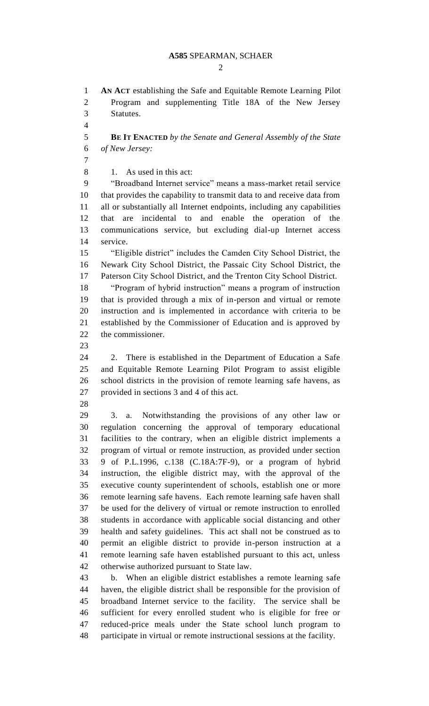## **A585** SPEARMAN, SCHAER

 $\mathcal{D}_{\mathcal{L}}$ 

 **AN ACT** establishing the Safe and Equitable Remote Learning Pilot Program and supplementing Title 18A of the New Jersey Statutes. **BE IT ENACTED** *by the Senate and General Assembly of the State of New Jersey:* 1. As used in this act: "Broadband Internet service" means a mass-market retail service that provides the capability to transmit data to and receive data from all or substantially all Internet endpoints, including any capabilities that are incidental to and enable the operation of the communications service, but excluding dial-up Internet access service. "Eligible district" includes the Camden City School District, the Newark City School District, the Passaic City School District, the Paterson City School District, and the Trenton City School District. "Program of hybrid instruction" means a program of instruction that is provided through a mix of in-person and virtual or remote instruction and is implemented in accordance with criteria to be established by the Commissioner of Education and is approved by the commissioner. 2. There is established in the Department of Education a Safe and Equitable Remote Learning Pilot Program to assist eligible school districts in the provision of remote learning safe havens, as provided in sections 3 and 4 of this act. 3. a. Notwithstanding the provisions of any other law or regulation concerning the approval of temporary educational facilities to the contrary, when an eligible district implements a program of virtual or remote instruction, as provided under section 9 of P.L.1996, c.138 (C.18A:7F-9), or a program of hybrid instruction, the eligible district may, with the approval of the executive county superintendent of schools, establish one or more remote learning safe havens. Each remote learning safe haven shall be used for the delivery of virtual or remote instruction to enrolled students in accordance with applicable social distancing and other health and safety guidelines. This act shall not be construed as to permit an eligible district to provide in-person instruction at a remote learning safe haven established pursuant to this act, unless otherwise authorized pursuant to State law. b. When an eligible district establishes a remote learning safe haven, the eligible district shall be responsible for the provision of broadband Internet service to the facility. The service shall be sufficient for every enrolled student who is eligible for free or reduced-price meals under the State school lunch program to participate in virtual or remote instructional sessions at the facility.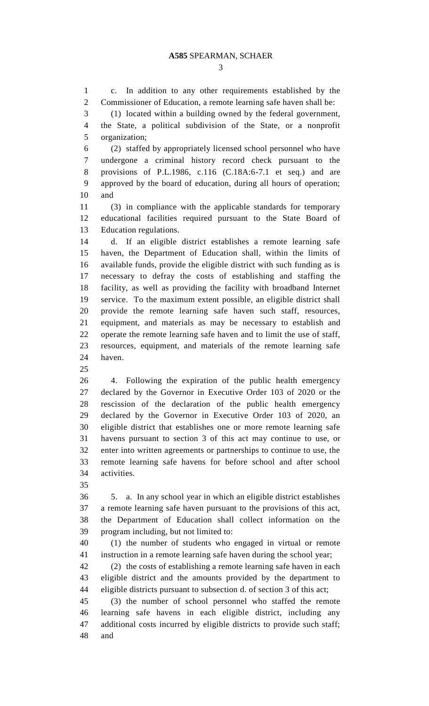c. In addition to any other requirements established by the Commissioner of Education, a remote learning safe haven shall be:

 (1) located within a building owned by the federal government, the State, a political subdivision of the State, or a nonprofit organization;

 (2) staffed by appropriately licensed school personnel who have undergone a criminal history record check pursuant to the provisions of P.L.1986, c.116 (C.18A:6-7.1 et seq.) and are approved by the board of education, during all hours of operation; and

 (3) in compliance with the applicable standards for temporary educational facilities required pursuant to the State Board of Education regulations.

 d. If an eligible district establishes a remote learning safe haven, the Department of Education shall, within the limits of available funds, provide the eligible district with such funding as is necessary to defray the costs of establishing and staffing the facility, as well as providing the facility with broadband Internet service. To the maximum extent possible, an eligible district shall provide the remote learning safe haven such staff, resources, equipment, and materials as may be necessary to establish and operate the remote learning safe haven and to limit the use of staff, resources, equipment, and materials of the remote learning safe haven.

 4. Following the expiration of the public health emergency declared by the Governor in Executive Order 103 of 2020 or the rescission of the declaration of the public health emergency declared by the Governor in Executive Order 103 of 2020, an eligible district that establishes one or more remote learning safe havens pursuant to section 3 of this act may continue to use, or enter into written agreements or partnerships to continue to use, the remote learning safe havens for before school and after school activities.

 5. a. In any school year in which an eligible district establishes a remote learning safe haven pursuant to the provisions of this act, the Department of Education shall collect information on the program including, but not limited to:

 (1) the number of students who engaged in virtual or remote instruction in a remote learning safe haven during the school year;

 (2) the costs of establishing a remote learning safe haven in each eligible district and the amounts provided by the department to eligible districts pursuant to subsection d. of section 3 of this act;

 (3) the number of school personnel who staffed the remote learning safe havens in each eligible district, including any additional costs incurred by eligible districts to provide such staff; and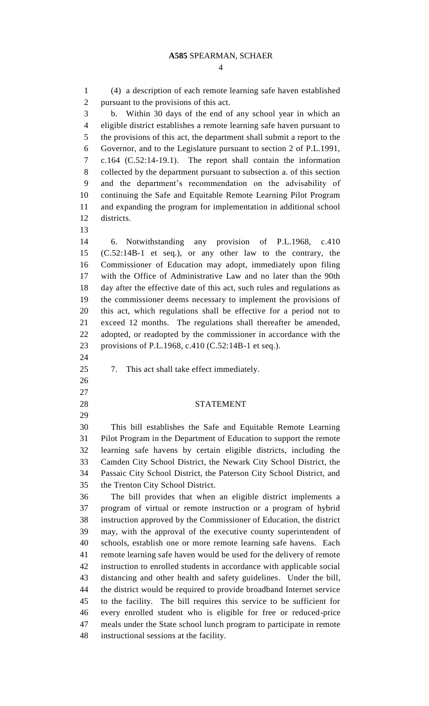(4) a description of each remote learning safe haven established pursuant to the provisions of this act. b. Within 30 days of the end of any school year in which an eligible district establishes a remote learning safe haven pursuant to the provisions of this act, the department shall submit a report to the Governor, and to the Legislature pursuant to section 2 of P.L.1991, c.164 (C.52:14-19.1). The report shall contain the information collected by the department pursuant to subsection a. of this section and the department's recommendation on the advisability of continuing the Safe and Equitable Remote Learning Pilot Program and expanding the program for implementation in additional school districts. 6. Notwithstanding any provision of P.L.1968, c.410 (C.52:14B-1 et seq.), or any other law to the contrary, the Commissioner of Education may adopt, immediately upon filing with the Office of Administrative Law and no later than the 90th day after the effective date of this act, such rules and regulations as the commissioner deems necessary to implement the provisions of this act, which regulations shall be effective for a period not to exceed 12 months. The regulations shall thereafter be amended, adopted, or readopted by the commissioner in accordance with the provisions of P.L.1968, c.410 (C.52:14B-1 et seq.). 7. This act shall take effect immediately. STATEMENT This bill establishes the Safe and Equitable Remote Learning Pilot Program in the Department of Education to support the remote learning safe havens by certain eligible districts, including the Camden City School District, the Newark City School District, the Passaic City School District, the Paterson City School District, and the Trenton City School District. The bill provides that when an eligible district implements a program of virtual or remote instruction or a program of hybrid instruction approved by the Commissioner of Education, the district may, with the approval of the executive county superintendent of schools, establish one or more remote learning safe havens. Each remote learning safe haven would be used for the delivery of remote instruction to enrolled students in accordance with applicable social distancing and other health and safety guidelines. Under the bill, the district would be required to provide broadband Internet service to the facility. The bill requires this service to be sufficient for every enrolled student who is eligible for free or reduced-price meals under the State school lunch program to participate in remote instructional sessions at the facility.